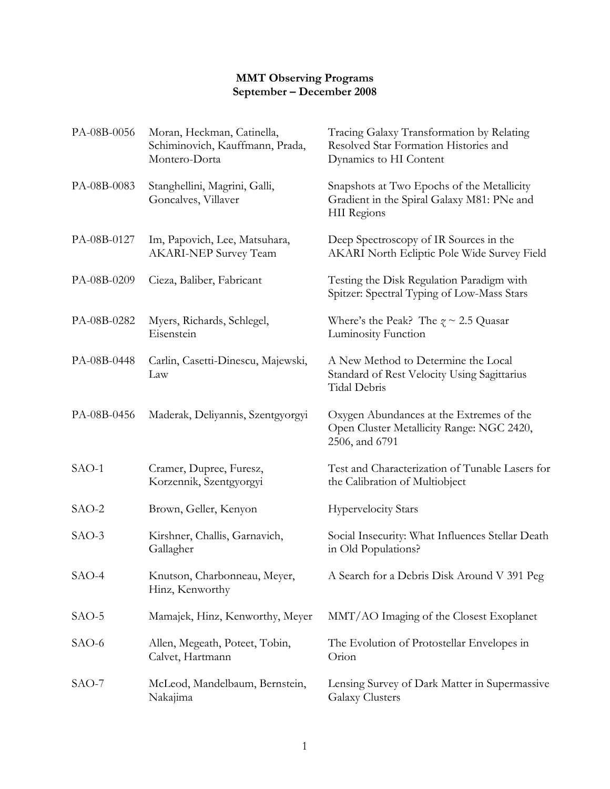## **MMT Observing Programs September – December 2008**

| PA-08B-0056 | Moran, Heckman, Catinella,<br>Schiminovich, Kauffmann, Prada,<br>Montero-Dorta | Tracing Galaxy Transformation by Relating<br>Resolved Star Formation Histories and<br>Dynamics to HI Content |
|-------------|--------------------------------------------------------------------------------|--------------------------------------------------------------------------------------------------------------|
| PA-08B-0083 | Stanghellini, Magrini, Galli,<br>Goncalves, Villaver                           | Snapshots at Two Epochs of the Metallicity<br>Gradient in the Spiral Galaxy M81: PNe and<br>HII Regions      |
| PA-08B-0127 | Im, Papovich, Lee, Matsuhara,<br><b>AKARI-NEP Survey Team</b>                  | Deep Spectroscopy of IR Sources in the<br>AKARI North Ecliptic Pole Wide Survey Field                        |
| PA-08B-0209 | Cieza, Baliber, Fabricant                                                      | Testing the Disk Regulation Paradigm with<br>Spitzer: Spectral Typing of Low-Mass Stars                      |
| PA-08B-0282 | Myers, Richards, Schlegel,<br>Eisenstein                                       | Where's the Peak? The $z \sim 2.5$ Quasar<br>Luminosity Function                                             |
| PA-08B-0448 | Carlin, Casetti-Dinescu, Majewski,<br>Law                                      | A New Method to Determine the Local<br>Standard of Rest Velocity Using Sagittarius<br>Tidal Debris           |
| PA-08B-0456 | Maderak, Deliyannis, Szentgyorgyi                                              | Oxygen Abundances at the Extremes of the<br>Open Cluster Metallicity Range: NGC 2420,<br>2506, and 6791      |
| $SAO-1$     | Cramer, Dupree, Furesz,<br>Korzennik, Szentgyorgyi                             | Test and Characterization of Tunable Lasers for<br>the Calibration of Multiobject                            |
| $SAO-2$     | Brown, Geller, Kenyon                                                          | <b>Hypervelocity Stars</b>                                                                                   |
| $SAO-3$     | Kirshner, Challis, Garnavich,<br>Gallagher                                     | Social Insecurity: What Influences Stellar Death<br>in Old Populations?                                      |
| SAO-4       | Knutson, Charbonneau, Meyer,<br>Hinz, Kenworthy                                | A Search for a Debris Disk Around V 391 Peg                                                                  |
| $SAO-5$     | Mamajek, Hinz, Kenworthy, Meyer                                                | MMT/AO Imaging of the Closest Exoplanet                                                                      |
| $SAO-6$     | Allen, Megeath, Poteet, Tobin,<br>Calvet, Hartmann                             | The Evolution of Protostellar Envelopes in<br>Orion                                                          |
| $SAO-7$     | McLeod, Mandelbaum, Bernstein,<br>Nakajima                                     | Lensing Survey of Dark Matter in Supermassive<br>Galaxy Clusters                                             |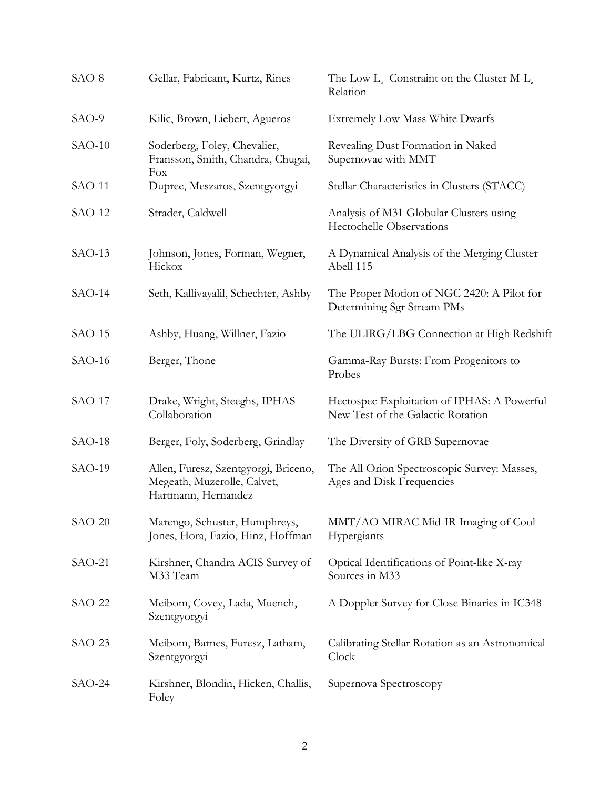| SAO-8    | Gellar, Fabricant, Kurtz, Rines                                                            | The Low $L_{x}$ Constraint on the Cluster M- $L_{x}$<br>Relation                 |
|----------|--------------------------------------------------------------------------------------------|----------------------------------------------------------------------------------|
| SAO-9    | Kilic, Brown, Liebert, Agueros                                                             | Extremely Low Mass White Dwarfs                                                  |
| $SAO-10$ | Soderberg, Foley, Chevalier,<br>Fransson, Smith, Chandra, Chugai,<br>Fox                   | Revealing Dust Formation in Naked<br>Supernovae with MMT                         |
| $SAO-11$ | Dupree, Meszaros, Szentgyorgyi                                                             | Stellar Characteristics in Clusters (STACC)                                      |
| $SAO-12$ | Strader, Caldwell                                                                          | Analysis of M31 Globular Clusters using<br><b>Hectochelle Observations</b>       |
| $SAO-13$ | Johnson, Jones, Forman, Wegner,<br>Hickox                                                  | A Dynamical Analysis of the Merging Cluster<br>Abell 115                         |
| $SAO-14$ | Seth, Kallivayalil, Schechter, Ashby                                                       | The Proper Motion of NGC 2420: A Pilot for<br>Determining Sgr Stream PMs         |
| $SAO-15$ | Ashby, Huang, Willner, Fazio                                                               | The ULIRG/LBG Connection at High Redshift                                        |
| $SAO-16$ | Berger, Thone                                                                              | Gamma-Ray Bursts: From Progenitors to<br>Probes                                  |
| $SAO-17$ | Drake, Wright, Steeghs, IPHAS<br>Collaboration                                             | Hectospec Exploitation of IPHAS: A Powerful<br>New Test of the Galactic Rotation |
| $SAO-18$ | Berger, Foly, Soderberg, Grindlay                                                          | The Diversity of GRB Supernovae                                                  |
| $SAO-19$ | Allen, Furesz, Szentgyorgi, Briceno,<br>Megeath, Muzerolle, Calvet,<br>Hartmann, Hernandez | The All Orion Spectroscopic Survey: Masses,<br>Ages and Disk Frequencies         |
| $SAO-20$ | Marengo, Schuster, Humphreys,<br>Jones, Hora, Fazio, Hinz, Hoffman                         | MMT/AO MIRAC Mid-IR Imaging of Cool<br>Hypergiants                               |
| $SAO-21$ | Kirshner, Chandra ACIS Survey of<br>M33 Team                                               | Optical Identifications of Point-like X-ray<br>Sources in M33                    |
| $SAO-22$ | Meibom, Covey, Lada, Muench,<br>Szentgyorgyi                                               | A Doppler Survey for Close Binaries in IC348                                     |
| $SAO-23$ | Meibom, Barnes, Furesz, Latham,<br>Szentgyorgyi                                            | Calibrating Stellar Rotation as an Astronomical<br>Clock                         |
| $SAO-24$ | Kirshner, Blondin, Hicken, Challis,<br>Foley                                               | Supernova Spectroscopy                                                           |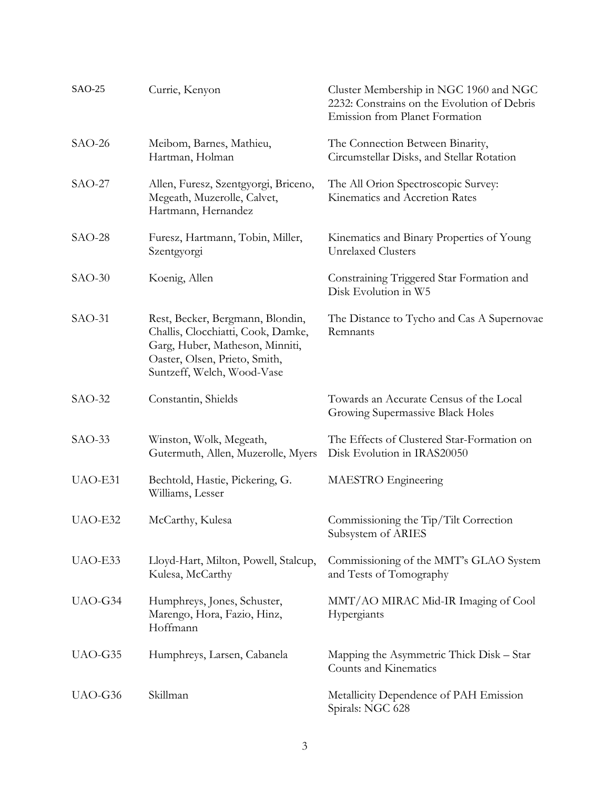| SAO-25   | Currie, Kenyon                                                                                                                                                           | Cluster Membership in NGC 1960 and NGC<br>2232: Constrains on the Evolution of Debris<br>Emission from Planet Formation |
|----------|--------------------------------------------------------------------------------------------------------------------------------------------------------------------------|-------------------------------------------------------------------------------------------------------------------------|
| $SAO-26$ | Meibom, Barnes, Mathieu,<br>Hartman, Holman                                                                                                                              | The Connection Between Binarity,<br>Circumstellar Disks, and Stellar Rotation                                           |
| $SAO-27$ | Allen, Furesz, Szentgyorgi, Briceno,<br>Megeath, Muzerolle, Calvet,<br>Hartmann, Hernandez                                                                               | The All Orion Spectroscopic Survey:<br>Kinematics and Accretion Rates                                                   |
| $SAO-28$ | Furesz, Hartmann, Tobin, Miller,<br>Szentgyorgi                                                                                                                          | Kinematics and Binary Properties of Young<br><b>Unrelaxed Clusters</b>                                                  |
| $SAO-30$ | Koenig, Allen                                                                                                                                                            | Constraining Triggered Star Formation and<br>Disk Evolution in W5                                                       |
| $SAO-31$ | Rest, Becker, Bergmann, Blondin,<br>Challis, Clocchiatti, Cook, Damke,<br>Garg, Huber, Matheson, Minniti,<br>Oaster, Olsen, Prieto, Smith,<br>Suntzeff, Welch, Wood-Vase | The Distance to Tycho and Cas A Supernovae<br>Remnants                                                                  |
| $SAO-32$ | Constantin, Shields                                                                                                                                                      | Towards an Accurate Census of the Local<br>Growing Supermassive Black Holes                                             |
| $SAO-33$ | Winston, Wolk, Megeath,<br>Gutermuth, Allen, Muzerolle, Myers                                                                                                            | The Effects of Clustered Star-Formation on<br>Disk Evolution in IRAS20050                                               |
| UAO-E31  | Bechtold, Hastie, Pickering, G.<br>Williams, Lesser                                                                                                                      | MAESTRO Engineering                                                                                                     |
| UAO-E32  | McCarthy, Kulesa                                                                                                                                                         | Commissioning the Tip/Tilt Correction<br>Subsystem of ARIES                                                             |
| UAO-E33  | Lloyd-Hart, Milton, Powell, Stalcup,<br>Kulesa, McCarthy                                                                                                                 | Commissioning of the MMT's GLAO System<br>and Tests of Tomography                                                       |
| UAO-G34  | Humphreys, Jones, Schuster,<br>Marengo, Hora, Fazio, Hinz,<br>Hoffmann                                                                                                   | MMT/AO MIRAC Mid-IR Imaging of Cool<br>Hypergiants                                                                      |
| UAO-G35  | Humphreys, Larsen, Cabanela                                                                                                                                              | Mapping the Asymmetric Thick Disk – Star<br>Counts and Kinematics                                                       |
| UAO-G36  | Skillman                                                                                                                                                                 | Metallicity Dependence of PAH Emission<br>Spirals: NGC 628                                                              |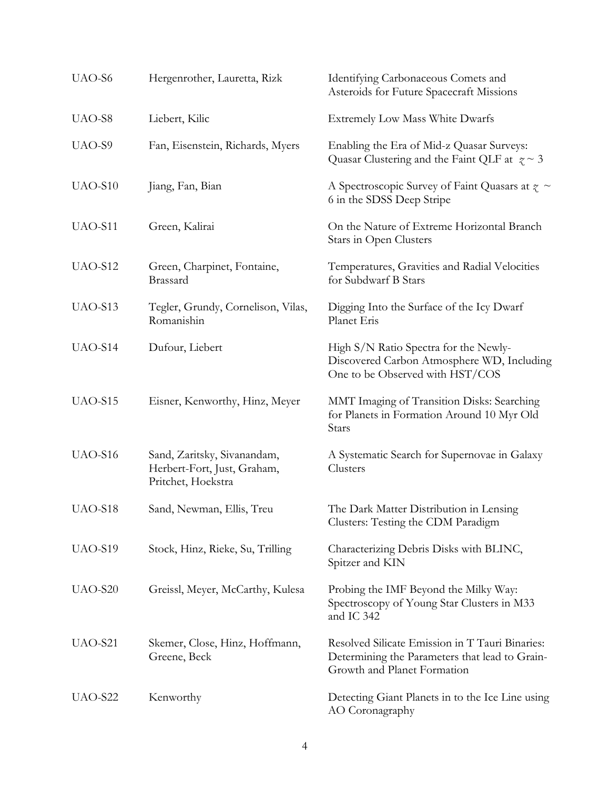| UAO-S6  | Hergenrother, Lauretta, Rizk                                                     | Identifying Carbonaceous Comets and<br>Asteroids for Future Spacecraft Missions                                                  |
|---------|----------------------------------------------------------------------------------|----------------------------------------------------------------------------------------------------------------------------------|
| UAO-S8  | Liebert, Kilic                                                                   | <b>Extremely Low Mass White Dwarfs</b>                                                                                           |
| UAO-S9  | Fan, Eisenstein, Richards, Myers                                                 | Enabling the Era of Mid-z Quasar Surveys:<br>Quasar Clustering and the Faint QLF at $z \sim 3$                                   |
| UAO-S10 | Jiang, Fan, Bian                                                                 | A Spectroscopic Survey of Faint Quasars at $\zeta \sim$<br>6 in the SDSS Deep Stripe                                             |
| UAO-S11 | Green, Kalirai                                                                   | On the Nature of Extreme Horizontal Branch<br>Stars in Open Clusters                                                             |
| UAO-S12 | Green, Charpinet, Fontaine,<br>Brassard                                          | Temperatures, Gravities and Radial Velocities<br>for Subdwarf B Stars                                                            |
| UAO-S13 | Tegler, Grundy, Cornelison, Vilas,<br>Romanishin                                 | Digging Into the Surface of the Icy Dwarf<br>Planet Eris                                                                         |
| UAO-S14 | Dufour, Liebert                                                                  | High S/N Ratio Spectra for the Newly-<br>Discovered Carbon Atmosphere WD, Including<br>One to be Observed with HST/COS           |
| UAO-S15 | Eisner, Kenworthy, Hinz, Meyer                                                   | MMT Imaging of Transition Disks: Searching<br>for Planets in Formation Around 10 Myr Old<br>Stars                                |
| UAO-S16 | Sand, Zaritsky, Sivanandam,<br>Herbert-Fort, Just, Graham,<br>Pritchet, Hoekstra | A Systematic Search for Supernovae in Galaxy<br>Clusters                                                                         |
| UAO-S18 | Sand, Newman, Ellis, Treu                                                        | The Dark Matter Distribution in Lensing<br>Clusters: Testing the CDM Paradigm                                                    |
| UAO-S19 | Stock, Hinz, Rieke, Su, Trilling                                                 | Characterizing Debris Disks with BLINC,<br>Spitzer and KIN                                                                       |
| UAO-S20 | Greissl, Meyer, McCarthy, Kulesa                                                 | Probing the IMF Beyond the Milky Way:<br>Spectroscopy of Young Star Clusters in M33<br>and IC 342                                |
| UAO-S21 | Skemer, Close, Hinz, Hoffmann,<br>Greene, Beck                                   | Resolved Silicate Emission in T Tauri Binaries:<br>Determining the Parameters that lead to Grain-<br>Growth and Planet Formation |
| UAO-S22 | Kenworthy                                                                        | Detecting Giant Planets in to the Ice Line using<br>AO Coronagraphy                                                              |